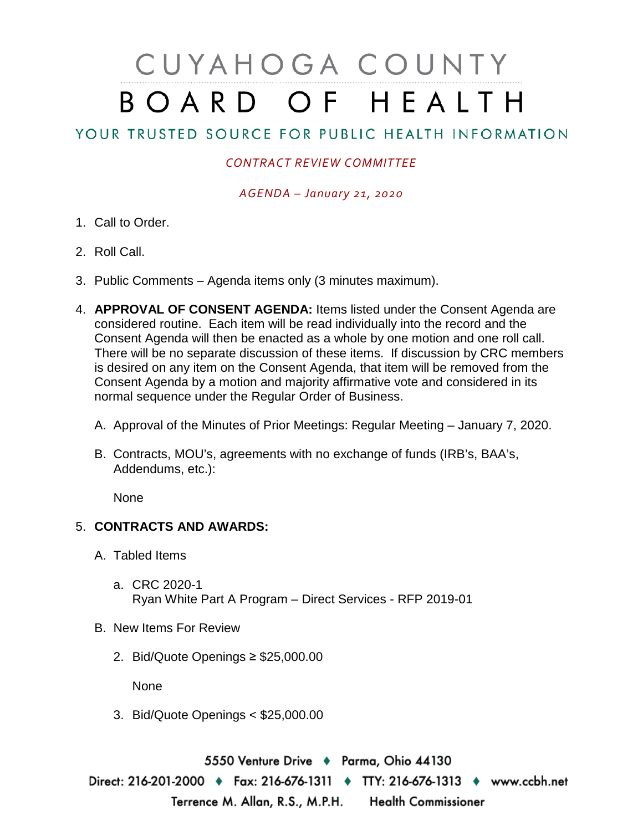## CUYAHOGA COUNTY BOARD OF HEALTH

## YOUR TRUSTED SOURCE FOR PUBLIC HEALTH INFORMATION

## *CONTRACT REVIEW COMMITTEE*

*AGENDA – January 21, 2020*

- 1. Call to Order.
- 2. Roll Call.
- 3. Public Comments Agenda items only (3 minutes maximum).
- 4. **APPROVAL OF CONSENT AGENDA:** Items listed under the Consent Agenda are considered routine. Each item will be read individually into the record and the Consent Agenda will then be enacted as a whole by one motion and one roll call. There will be no separate discussion of these items. If discussion by CRC members is desired on any item on the Consent Agenda, that item will be removed from the Consent Agenda by a motion and majority affirmative vote and considered in its normal sequence under the Regular Order of Business.
	- A. Approval of the Minutes of Prior Meetings: Regular Meeting January 7, 2020.
	- B. Contracts, MOU's, agreements with no exchange of funds (IRB's, BAA's, Addendums, etc.):

None

## 5. **CONTRACTS AND AWARDS:**

- A. Tabled Items
	- a. CRC 2020-1 Ryan White Part A Program – Direct Services - RFP 2019-01
- B. New Items For Review
	- 2. Bid/Quote Openings ≥ \$25,000.00

None

3. Bid/Quote Openings < \$25,000.00

5550 Venture Drive + Parma, Ohio 44130 Direct: 216-201-2000 • Fax: 216-676-1311 • TTY: 216-676-1313 • www.ccbh.net Terrence M. Allan, R.S., M.P.H. Health Commissioner